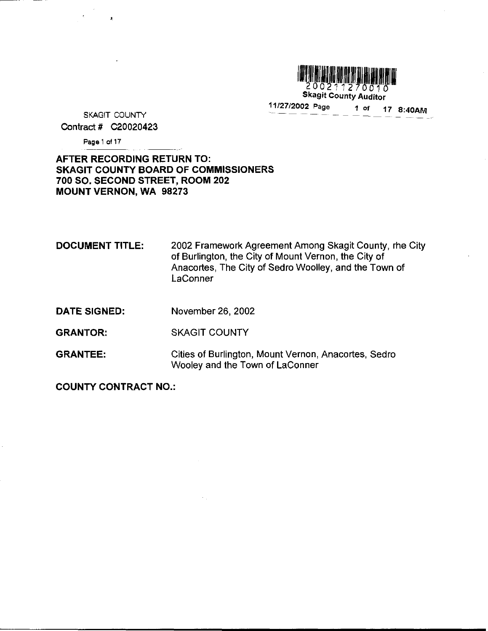

200211270010 Skagit County Auditor

SKAGIT COUNTY  $\frac{11/27/2002 \text{ Page}}{11/27} = 10002.$   $\frac{100002 \text{ Page}}{11/27} = 10002.$ Contract # C20020423

Page <sup>1</sup> of 17

# AFTER RECORDING RETURN TO SKAGIT COUNTY BOARD OF COMMISSIONERS 700 SO. SECOND STREET, ROOM 202 MOUNT VERNON, WA 98273

DOCUMENT TITLE: 2002 Framework Agreement Among Skagit County, rhe City of Burlington, the City of Mount Vernon, the City of Anacortes, The City of Sedro Woolley, and the Town of **LaConner** 

- DATE SIGNED: November 26, 2002
- GRANTOR: SKAGIT COUNTY
- GRANTEE: Cities of Burlington, Mount Vernon, Anacortes, Sedro Wooley and the Town of LaConner

COUNTY CONTRACT NO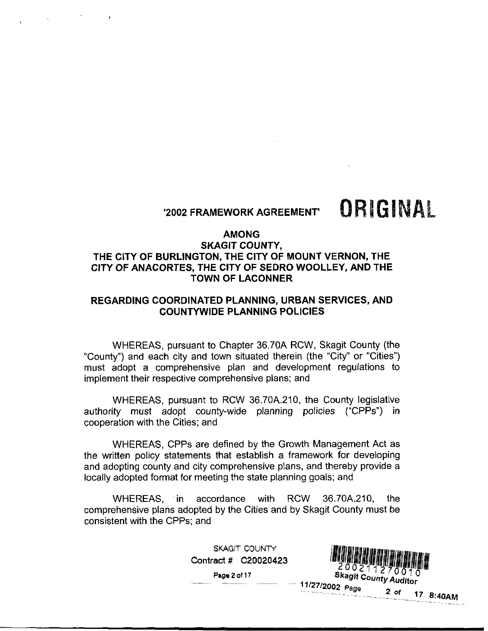# 2002 FRAMEWORK AGREEMENT

# ORIGINAL

#### AMONG

# SKAGIT COUNTY THE CITY OF BURLINGTON, THE CITY OF MOUNT VERNON, THE CITY OF ANACORTES, THE CITY OF SEDRO WOOLLEY, AND THE TOWN OF LACONNER

# REGARDING COORDINATED PLANNING, URBAN SERVICES, AND COUNTYWIDE PLANNING POLICIES

WHEREAS, pursuant to Chapter 36.70A RCW, Skagit County (the "County") and each city and town situated therein (the "City" or "Cities") must adopt <sup>a</sup> comprehensive plan and development regulations to implement their respective comprehensive plans; and

ent their respective comprehensive plans; and<br>WHEREAS, pursuant to RCW 36.70A.210, the County legislative<br>ty must adopt county-wide planning policies ("CPPs") in WHEREAS, pursuant to RCW 36.70A.210, the County legislative<br>authority must adopt county-wide planning policies ("CPPs") in cooperation with the Cities; and

WHEREAS, CPPs are defined by the Growth Management Act as the written policy statements that establish <sup>a</sup> framework for developing and adopting county and city comprehensive plans, and thereby provide a locally adopted format for meeting the state planning goals; and

and adopting county and city comprehensive plans, and thereby provide a<br>locally adopted format for meeting the state planning goals; and<br>WHEREAS, `in accordance with RCW 36.70A.210, the<br>comprehensive plans adopted by the C consistent with the CPPs; and

SKAGIT COUNTY

Page <sup>2</sup> of <sup>17</sup>



11/27/2002 Page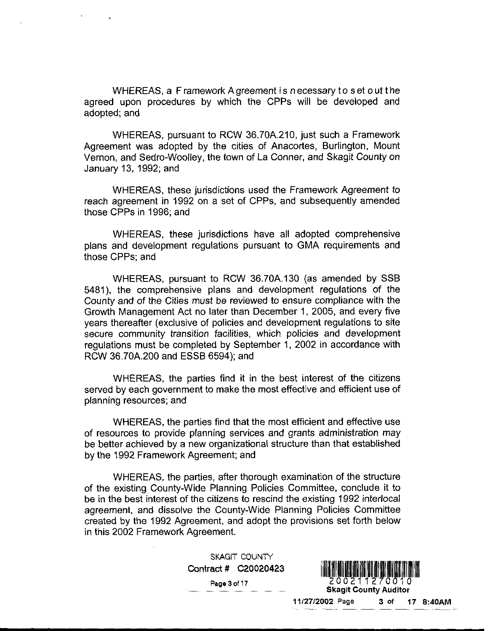WHEREAS, a F ramework A greement is n ecessary to set out the agreed upon procedures by which the CPPs will be developed and adopted; and

 $\sim 3$ 

WHEREAS, pursuant to RCW 36.70A.210, just such a Framework Agreement was adopted by the cities of Anacortes, Burlington, Mount Vernon, and Sedro-Woolley, the town of La Conner, and Skagit County on January 13, 1992; and

WHEREAS, these jurisdictions used the Framework Agreement to reach agreement in 1992 on a set of CPPs, and subsequently amended those CPPs in 1996; and

WHEREAS, these jurisdictions have all adopted comprehensive plans and development regulations pursuant to GMA requirements and those CPPs; and

WHEREAS, pursuant to RCW 36.70A.130 (as amended by SSB 5481), the comprehensive plans and development regulations of the County and of the Cities must be reviewed to ensure compliance with the Growth Management Act no later than December 1, 2005, and every five years thereafter (exclusive of policies and development regulations to site secure community transition facilities, which policies and development regulations must be completed by September 1, 2002 in accordance with years interealier (exclusive of policies a<br>secure community transition facilities,<br>regulations must be completed by Sept<br>RCW 36.70A.200 and ESSB 6594); and amended by SSB<br>egulations of the<br>onpliance with the<br>05, and every five<br>regulations to site<br>and development<br>n accordance with<br>est of the citizens<br>and efficient use of<br>t and effective use<br>deministration may<br>an that establish

WHEREAS, the parties find it in the best interest of the citizens served by each government to make the most effective and efficient use of planning resources; and

WHEREAS the parties find that the most efficient and effective use of resources to provide planning services and grants administration may be better achieved by <sup>a</sup> new organizational structure than that established by the 1992 Framework Agreement; and

WHEREAS, the parties, after thorough examination of the structure of the existing County-Wide Planning Policies Committee, conclude it to be in the best interest of the citizens to rescind the existing 1992 interlocal agreement, and dissolve the County-Wide Planning Policies Committee created by the 1992 Agreement, and adopt the provisions set forth below in this 2002 Framework Agreement

> Contract # C20020423 SKAGIT COUNTY

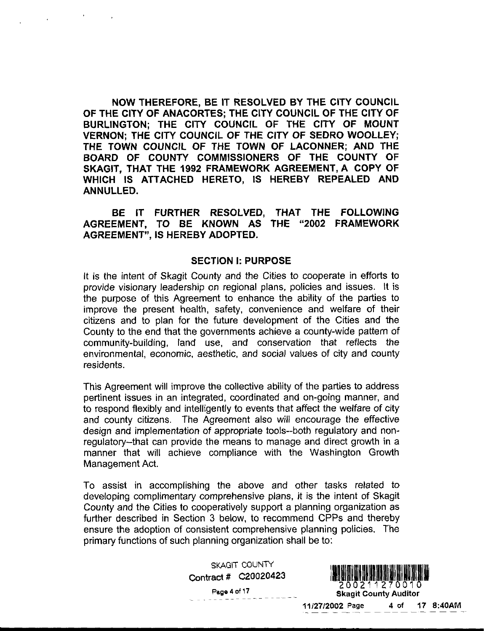NOW THEREFORE BE IT RESOLVED BY THE CITY COUNCIL OF THE CITY OF ANACORTES: THE CITY COUNCIL OF THE CITY OF BURLINGTON; THE CITY COUNCIL OF THE CITY OF MOUNT VERNON: THE CITY COUNCIL OF THE CITY OF SEDRO WOOLLEY; THE TOWN COUNCIL OF THE TOWN OF LACONNER; AND THE BOARD OF COUNTY COMMISSIONERS OF THE COUNTY OF SKAGIT, THAT THE 1992 FRAMEWORK AGREEMENT, A COPY OF WHICH IS ATTACHED HERETO, IS HEREBY REPEALED AND ANNULLED

BE IT FURTHER RESOLVED, THAT THE FOLLOWING AGREEMENT, TO BE KNOWN AS THE "2002 FRAMEWORK AGREEMENT", IS HEREBY ADOPTED.

#### **SECTION I: PURPOSE**

It is the intent of Skagit County and the Cities to cooperate in efforts to provide visionary leadership on regional plans, policies and issues. It is the purpose of this Agreement to enhance the ability of the parties to improve the present health, safety, convenience and welfare of their citizens and to plan for the future development of the Cities and the<br>County to the end that the governments achieve a county-wide pattern of County to the end that the governments achieve a county-wide pattern of community-building, land use, and conservation that reflects the environmental, economic, aesthetic, and social values of city and county residents 1 the Cities to cooperate in efforts to<br>
conal plans, policies and issues. It is<br>
enchance the ability of the parties to<br>
7, convenience and welfare of their<br>
development of the Cities and the<br>
ents achieve a county-wide p

This Agreement will improve the collective ability of the parties to address pertinent issues in an integrated, coordinated and on-going manner, and to respond flexibly and intelligently to events that affect the welfare of city and county citizens. The Agreement also will encourage the effective and county citizens. The Agreement also will encourage the effective<br>design and implementation of appropriate tools--both regulatory and non-<br>regulatory--that can provide the means to manage and direct growth in a<br>manner t manner that will achieve compliance with the Washington Growth Management Act

To assist in accomplishing the above and other tasks related to developing complimentary comprehensive plans, it is the intent of Skagit County and the Cities to cooperatively support <sup>a</sup> planning organization as further described in Section 3 below, to recommend CPPs and thereby ensure the adoption of consistent comprehensive planning policies. The primary functions of such planning organization shall be to

> SKAGIT COUNTY Contract # C20020423

> > Page 4 of 17



Skagit County Auditor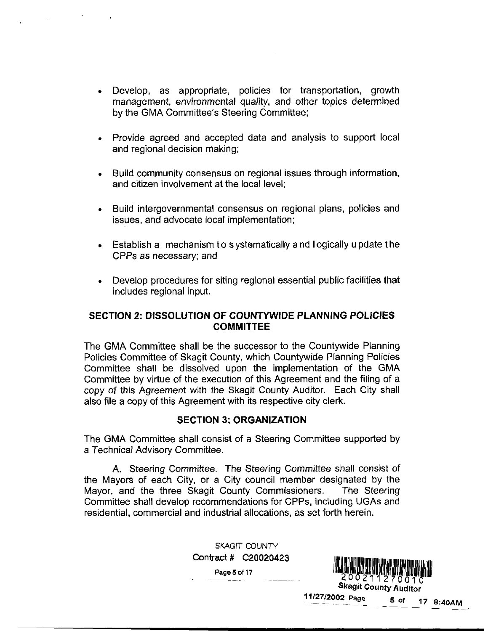- Develop, as appropriate, policies for transportation, growth management, environmental quality, and other topics determined **Develop, as appropria<br>management, environme<br>by the GMA Committee's<br>Provide agreed and acc** by the GMA Committee's Steering Committee;
- Provide agreed and accepted data and analysis to support local and regional decision making
- Build community consensus on regional issues through information and citizen involvement at the local level
- Build intergovernmental consensus on regional plans, policies and issues, and advocate local implementation;
- Establish <sup>a</sup> mechanism <sup>t</sup> <sup>o</sup> systematically <sup>a</sup> nd <sup>I</sup> ogically <sup>u</sup> pdate t he CPPs as necessary; and
- Develop procedures for siting regional essential public facilities that includes regional input

# SECTION 2: DISSOLUTION OF COUNTYWIDE PLANNING POLICIES **COMMITTEE**

The GMA Committee shall be the successor to the Countywide Planning Policies Committee of Skagit County which Countywide Planning Policies Committee shall be dissolved upon the implementation of the GMA Committee by virtue of the execution of this Agreement and the filing of <sup>a</sup> copy of this Agreement with the Skagit County Auditor. Each City shall also file a copy of this Agreement with its respective city clerk.

# **SECTION 3: ORGANIZATION**

The GMA Committee shall consist of <sup>a</sup> Steering Committee supported by <sup>a</sup> Technical Advisory Committee

A. Steering Committee. The Steering Committee shall consist of the Mayors of each City, or a City council member designated by the Mayor, and the three Skagit County Commissioners. The Steering Mayor, and the three Skagit County Commissioners. Committee shall develop recommendations for CPPs including UGAs and residential, commercial and industrial allocations, as set forth herein.

> SKAGIT COUNTY Contract  $\#$  C20020423

Imendations for CFFs, including OGAs and<br>lustrial allocations, as set forth herein.<br>SKAGIT COUNTY<br>act # C20020423<br>Page 5 of 17<br><br>All 20021127000 Skagit County Auditor 20021127001 Skagit County Auditor 200211270011<br>
200211270010<br>
Skagit County Auditor<br>
11/27/2002 Page 5 of 17 8:40AM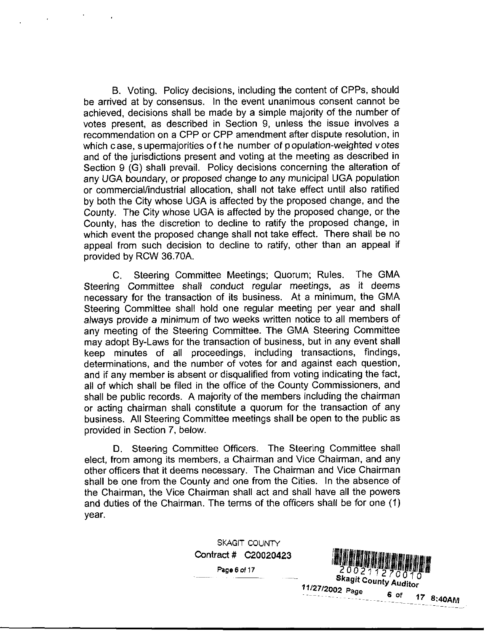B. Voting, Policy decisions, including the content of CPPs, should be arrived at by consensus. In the event unanimous consent cannot be achieved, decisions shall be made by a simple majority of the number of votes present, as described in Section 9, unless the issue involves a recommendation on <sup>a</sup> CPP or CPP amendment after dispute resolution in which case, supermajorities of the number of population-weighted votes and of the jurisdictions present and voting at the meeting as described in Section 9 (G) shall prevail. Policy decisions concerning the alteration of any UGA boundary, or proposed change to any municipal UGA population or commercial/industrial allocation, shall not take effect until also ratified by both the City whose UGA is affected by the proposed change, and the County. The City whose UGA is affected by the proposed change, or the County, has the discretion to decline to ratify the proposed change, in which event the proposed change shall not take effect. There shall be no appeal from such decision to decline to ratify other than an appeal if provided by RCW 36.70A.

C. Steering Committee Meetings: Quorum; Rules. The GMA Steering Committee shall conduct regular meetings, as it deems necessary for the transaction of its business. At a minimum, the GMA Steering Committee shall hold one regular meeting per year and shall always provide a minimum of two weeks written notice to all members of any meeting of the Steering Committee. The GMA Steering Committee<br>may adopt By-Laws for the transaction of business, but in any event shall<br>keep minutes of all proceedings including transactions findings. keep minutes of all proceedings, including transactions, findings, determinations, and the number of votes for and against each question, and if any member is absent or disqualified from voting indicating the fact all of which shall be filed in the office of the County Commissioners, and shall be public records. A majority of the members including the chairman or acting chairman shall constitute <sup>a</sup> quorum for the transaction of any business All Steering Committee meetings shall be open to the public as provided in Section 7, below. nall not take effect until also rattied<br>ed by the proposed change, and the<br>eted by the proposed change, or the<br>stock by the proposed change, or the<br>stock by the proposed change, in<br>the case of the state effect. There shall

D. Steering Committee Officers. The Steering Committee shall elect, from among its members, a Chairman and Vice Chairman, and any other officers that it deems necessary. The Chairman and Vice Chairman shall be one from the County and one from the Cities. In the absence of the Chairman, the Vice Chairman shall act and shall have all the powers and duties of the Chairman. The terms of the officers shall be for one (1) year

> SKAGIT COUNTY Contract # C20020423



Page 6 of 17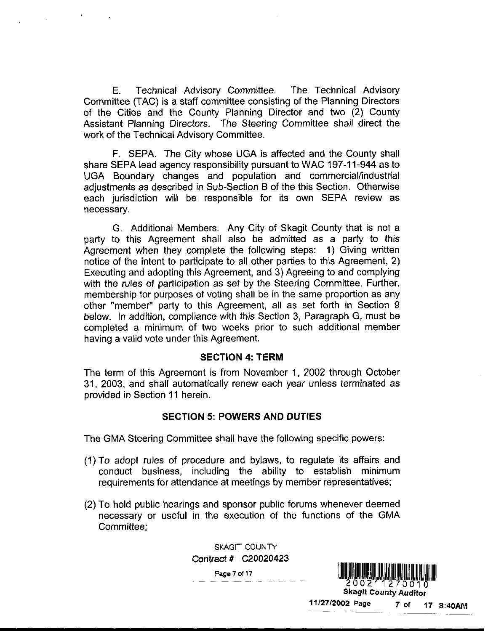E Technical Advisory Committee The Technical Advisory Committee TAC is <sup>a</sup> staff committee consisting of the Planning Directors of the Cities and the County Planning Director and two (2) County Assistant Planning Directors. The Steering Committee shall direct the work of the Technical Advisory Committee

F. SEPA. The City whose UGA is affected and the County shall share SEPA lead agency responsibility pursuant to WAC 197-11-944 as to UGA Boundary changes and population and commercial/industrial adjustments as described in Sub-Section B of the this Section. Otherwise each jurisdiction will be responsible for its own SEPA review as necessary

G. Additional Members. Any City of Skagit County that is not a party to this Agreement shall also be admitted as <sup>a</sup> party to this Agreement when they complete the following steps: 1) Giving written notice of the intent to participate to all other parties to this Agreement, 2) Executing and adopting this Agreement, and 3) Agreeing to and complying with the rules of participation as set by the Steering Committee. Further, membership for purposes of voting shall be in the same proportion as any other "member" party to this Agreement, all as set forth in Section 9 below. In addition, compliance with this Section 3, Paragraph G, must be completed <sup>a</sup> minimum of two weeks prior to such additional member having <sup>a</sup> valid vote under this Agreement

#### **SECTION 4: TERM**

The term of this Agreement is from November 1, 2002 through October 31, 2003, and shall automatically renew each year unless terminated as provided in Section <sup>11</sup> herein

#### **SECTION 5: POWERS AND DUTIES**

The GMA Steering Committee shall have the following specific powers

- 1 To adopt rules of procedure and bylaws to regulate its affairs and conduct business including the ability to establish minimum requirements for attendance at meetings by member representatives
- 2 To hold public hearings and sponsor public forums whenever deemed necessary or useful in the execution of the functions of the GMA Committee

SKAGIT COUNTY Contract # C20020423



11/27/2002 Page 7 of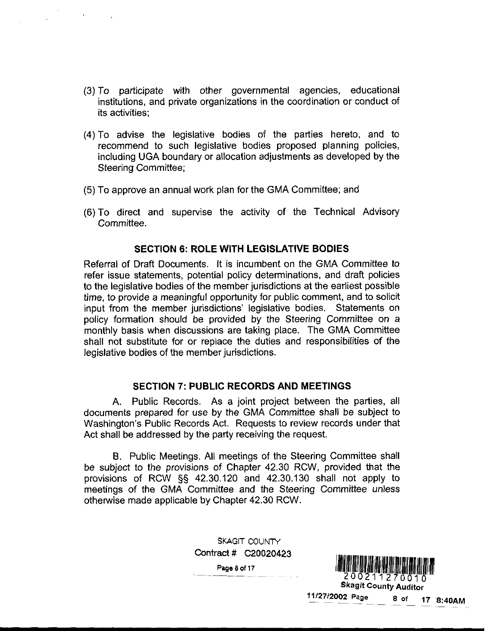- 3 To participate with other governmental agencies educational institutions and private organizations in the coordination or conduct of its activities
- (4) To advise the legislative bodies of the parties hereto, and to recommend to such legislative bodies proposed planning policies including UGA boundary or allocation adjustments as developed by the Steering Committee
- (5) To approve an annual work plan for the GMA Committee; and
- (5)<br>(6) To direct and supervise the activity of the Technical Advisory Committee

#### **SECTION 6: ROLE WITH LEGISLATIVE BODIES**

Referral of Draft Documents It is incumbent on the GMA Committee to refer issue statements, potential policy determinations, and draft policies to the legislative bodies of the member jurisdictions at the earliest possible time, to provide a meaningful opportunity for public comment, and to solicit input from the member jurisdictions' legislative bodies. Statements on policy formation should be provided by the Steering Committee on <sup>a</sup> monthly basis when discussions are taking place. The GMA Committee shall not substitute for or replace the duties and responsibilities of the legislative bodies of the member jurisdictions. It is incurrent to the wive Committee to<br>all policy determinations, and draft policies<br>nember jurisdictions at the earliest possible<br>poprtunity for public comment, and to solicit<br>origins are taking place. The GMA Committee

#### **SECTION 7: PUBLIC RECORDS AND MEETINGS**

A. Public Records. As a joint project between the parties, all documents prepared for use by the GMA Committee shall be subject to Mall not subs<br>
legislative bod<br>
legislative bod<br>
SE<br>
A. Put<br>
documents pre<br>
Washington's<br>
Act shall be ad<br>
R. Put Washington's Public Records Act. Requests to review records under that Act shall be addressed by the party receiving the request

B. Public Meetings, All meetings of the Steering Committee shall B. Public Meetings. All meetings of the Steering Committee shall<br>be subject to the provisions of Chapter 42.30 RCW, provided that the<br>provisions of RCW §§ 42.30.120 and 42.30.130 shall not apply to<br>meetings of the GMA Comm meetings of the GMA Committee and the Steering Committee unless otherwise made applicable by Chapter 4230RCW

> SKAGIT COUNTY Contract  $\#$  C20020423

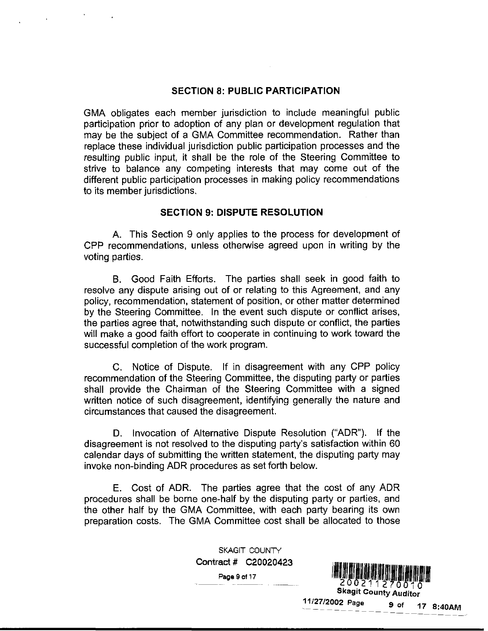#### **SECTION 8: PUBLIC PARTICIPATION**

GMA obligates each member jurisdiction to include meaningful public participation prior to adoption of any plan or development regulation that may be the subject of a GMA Committee recommendation. Rather than replace these individual jurisdiction public participation processes and the resulting public input, it shall be the role of the Steering Committee to strive to balance any competing interests that may come out of the different public participation processes in making policy recommendations to its member jurisdictions.

#### **SECTION 9: DISPUTE RESOLUTION**

A. This Section 9 only applies to the process for development of CPP recommendations, unless otherwise agreed upon in writing by the voting parties

B. Good Faith Efforts. The parties shall seek in good faith to resolve any dispute arising out of or relating to this Agreement, and any policy, recommendation, statement of position, or other matter determined by the Steering Committee. In the event such dispute or conflict arises, the parties agree that, notwithstanding such dispute or conflict, the parties will make <sup>a</sup> good faith effort to cooperate in continuing to work toward the successful completion of the work program In good faith to<br>
ement, and any<br>
atter determined<br>
r conflict arises,<br>
mflict, the parties<br>
work toward the<br>
any CPP policy<br>
party or parties<br>
with a signed<br>
the nature and<br>
("ADR"). If the<br>
faction within 60<br>
youting pa

C. Notice of Dispute. If in disagreement with any CPP policy recommendation of the Steering Committee, the disputing party or parties shall provide the Chairman of the Steering Committee with <sup>a</sup> signed written notice of such disagreement, identifying generally the nature and circumstances that caused the disagreement

D. Invocation of Alternative Dispute Resolution ("ADR"). If the disagreement is not resolved to the disputing party's satisfaction within 60 circumstances that caused the disagreement.<br>
D. Invocation of Alternative Dispute Resolution ("ADR"). If the<br>
disagreement is not resolved to the disputing party's satisfaction within 60<br>
calendar days of submitting the wr

E. Cost of ADR. The parties agree that the cost of any ADR procedures shall be borne one-half by the disputing party or parties, and the other half by the GMA Committee, with each party bearing its own preparation costs. The GMA Committee cost shall be allocated to those

> SKAGIT COUNTY Contract 020020423

> > Page 9 of 17

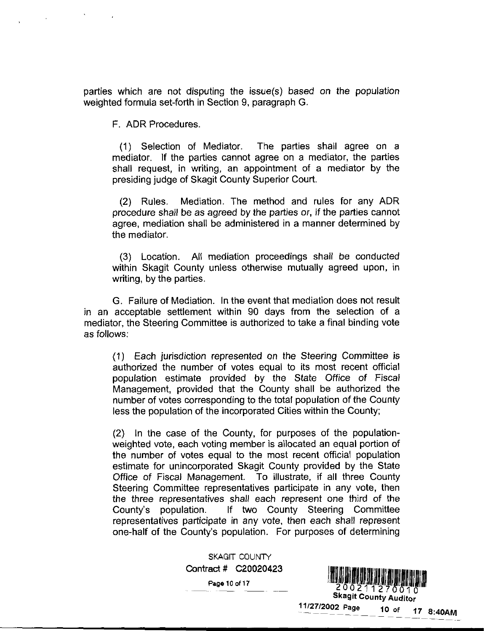parties which are not disputing the issue(s) based on the population<br>weighted formula set-forth in Section 9, paragraph G.

F ADR Procedures

1 Selection of Mediator The parties shall agree on <sup>a</sup> mediator. If the parties cannot agree on a mediator, the parties shall request, in writing, an appointment of a mediator by the presiding judge of Skagit County Superior Court

(2) Rules. Mediation. The method and rules for any ADR procedure shall be as agreed by the parties or if the parties cannot agree, mediation shall be administered in a manner determined by the mediator

3 Location All mediation proceedings shall be conducted within Skagit County unless otherwise mutually agreed upon, in writing, by the parties.

G. Failure of Mediation. In the event that mediation does not result in an acceptable settlement within 90 days from the selection of <sup>a</sup> mediator, the Steering Committee is authorized to take a final binding vote as follows

1 Each jurisdiction represented on the Steering Committee is authorized the number of votes equal to its most recent official population estimate provided by the State Office of Fiscal Management, provided that the County shall be authorized the number of votes corresponding to the total population of the County less the population of the incorporated Cities within the County

(2) In the case of the County, for purposes of the populationweighted vote, each voting member is allocated an equal portion of the number of votes equal to the most recent official population estimate for unincorporated Skagit County provided by the State Office of Fiscal Management. To illustrate, if all three County Steering Committee representatives participate in any vote, then the three representatives shall each represent one third of the<br>County's population. If two County Steering Committee the number of votes equal to the most recent official population<br>estimate for unincorporated Skagit County provided by the State<br>Office of Fiscal Management. To illustrate, if all three County<br>Steering Committee representa representatives participate in any vote, then each shall represent one-half of the County's population. For purposes of determining Steering Committee representatives participate in any vote, then<br>the three representatives shall each represent one third of the<br>County's population. If two County Steering Committee<br>representatives participate in any vote 90 days from the selection of a<br>suthorized to take a final binding vote<br>meted on the Steering Committee is<br>less equal to its most recent official<br>the County shall be authorized the<br>total population of the County;<br>porated

SKAGIT COUNTY Contract # C20020423

Page 10 of 17



Skagit County Auditor 11/27/2002 Page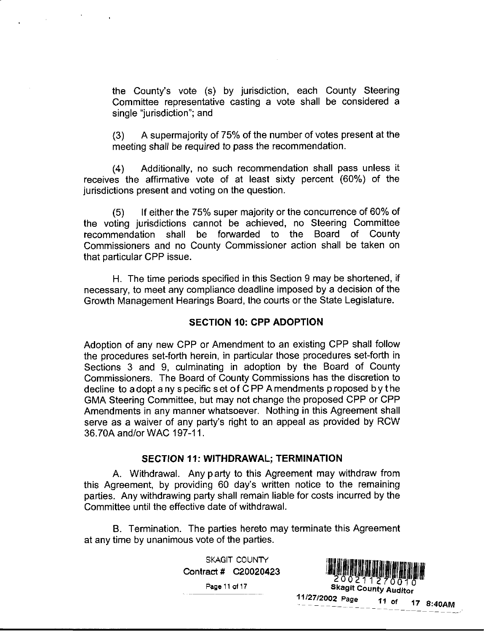the County's vote (s) by jurisdiction, each County Steering Committee representative casting <sup>a</sup> vote shall be considered <sup>a</sup> single "jurisdiction"; and

 $(3)$  A supermajority of 75% of the number of votes present at the meeting shall be required to pass the recommendation

(4) Additionally, no such recommendation shall pass unless it receives the affirmative vote of at least sixty percent (60%) of the jurisdictions present and voting on the question.

 $(5)$  If either the 75% super majority or the concurrence of 60% of the voting jurisdictions cannot be achieved, no Steering Committee recommendation shall be forwarded to the Board of County Commissioners and no County Commissioner action shall be taken on that particular CPP issue

H. The time periods specified in this Section 9 may be shortened, if necessary to meet any compliance deadline imposed by <sup>a</sup> decision of the Growth Management Hearings Board, the courts or the State Legislature.

### SECTION 10: CPP ADOPTION

Adoption of any new CPP or Amendment to an existing CPP shall follow the procedures set-forth herein, in particular those procedures set-forth in Sections 3 and 9, culminating in adoption by the Board of County Commissioners. The Board of County Commissions has the discretion to decline to a dopt a ny s pecific s et o f C PP A mendments p roposed b y the GMA Steering Committee, but may not change the proposed CPP or CPP Amendments in any manner whatsoever. Nothing in this Agreement shall serve as GMA Steering Committee, but may not change the proposed CPP or CPP Amendments in any manner whatsoever. Nothing in this Agreement shall serve as a waiver of any party's right to an appeal as provided by RCW<br>36.70A and/or WAC 197-11.

#### SECTION 11: WITHDRAWAL: TERMINATION

A. Withdrawal. Any party to this Agreement may withdraw from SECTION 11: WITHDRAW<br>A. Withdrawal. Any party to the<br>this Agreement, by providing 60 day's<br>parties. Any withdrawing party shall rem written notice to the remaining parties. Any withdrawing party shall remain liable for costs incurred by the Committee until the effective date of withdrawal. party to this Agreement may withdraw from<br>
ig 60 day's written notice to the remaining<br>
ty shall remain liable for costs incurred by the<br>
date of withdrawal.<br>
parties hereto may terminate this Agreement<br>
te of the parties

B. Termination. The parties hereto may terminate this Agreement at any time by unanimous vote of the parties

> SKAGIT COUNTY Contract  $\#$  C20020423

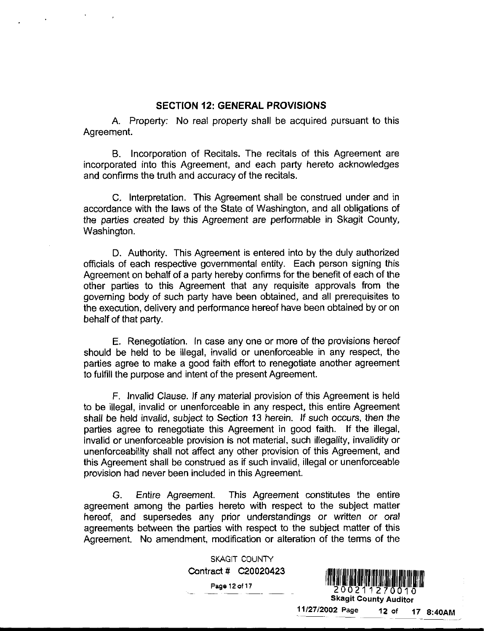### SECTION 12: GENERAL PROVISIONS

A. Property: No real property shall be acquired pursuant to this Agreement

B. Incorporation of Recitals. The recitals of this Agreement are incorporated into this Agreement, and each party hereto acknowledges and confirms the truth and accuracy of the recitals

C. Interpretation. This Agreement shall be construed under and in accordance with the laws of the State of Washington, and all obligations of the parties created by this Agreement are performable in Skagit County Washington.

D. Authority. This Agreement is entered into by the duly authorized officials of each respective governmental entity. Each person signing this Agreement on behalf of <sup>a</sup> party hereby confirms for the benefit of each of the other parties to this Agreement that any requisite approvals from the governing body of such party have been obtained, and all prerequisites to the execution, delivery and performance hereof have been obtained by or on behalf of that party

E. Renegotiation. In case any one or more of the provisions hereof should be held to be illegal, invalid or unenforceable in any respect, the parties agree to make <sup>a</sup> good faith effort to renegotiate another agreement to fulfill the purpose and intent of the present Agreement.

F. Invalid Clause. If any material provision of this Agreement is held to be illegal, invalid or unenforceable in any respect, this entire Agreement shall be held invalid, subject to Section 13 herein. If such occurs, then the parties agree to renegotiate this Agreement in good faith. If the illegal, invalid or unenforceable provision is not material, such illegality, invalidity or unenforceability shall not affect any other provision of this Agreement, and this Agreement shall be construed as if such invalid, illegal or unenforceable provision had never been included in this Agreement 17 are performative in Swagit Courty,<br>
s entered into by the duy authorized<br>
thal entity. Each person signing this<br>
toonfirms for the benefit of each of the<br>
ten obtained, and all prerequisites to<br>
be hereof have been obta

G. Entire Agreement. This Agreement constitutes the entire agreement among the parties hereto with respect to the subject matter hereof, and supersedes any prior understandings or written or oral agreements between the parties with respect to the subject matter of this Agreement. No amendment, modification or alteration of the terms of the

> SKAGIT COUNTY Contract # C20020423

> > Page 12 of

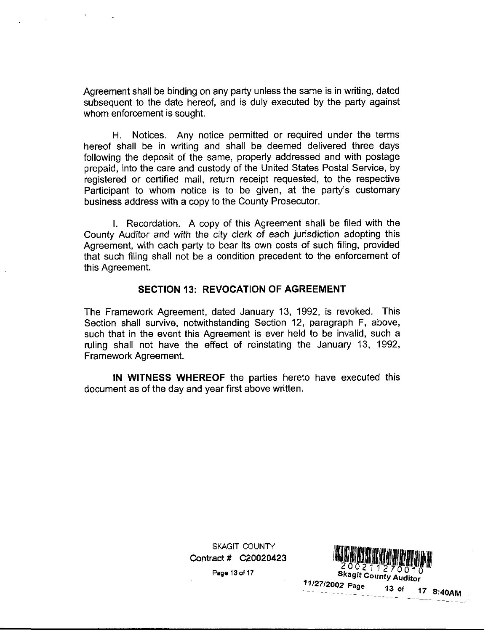Agreement shall be binding on any party unless the same is in writing, dated subsequent to the date hereof, and is duly executed by the party against whom enforcement is sought

H. Notices. Any notice permitted or required under the terms hereof shall be in writing and shall be deemed delivered three days following the deposit of the same, properly addressed and with postage prepaid, into the care and custody of the United States Postal Service, by registered or certified mail, return receipt requested, to the respective Pa prepaid, into the care and custody of the United States Postal Service, by registered or certified mail, return receipt requested, to the respective<br>Participant to whom notice is to be given, at the party's customary business address with <sup>a</sup> copy to the County Prosecutor

I. Recordation. A copy of this Agreement shall be filed with the County Auditor and with the city clerk of each jurisdiction adopting this Agreement, with each party to bear its own costs of such filing, provided that such filing shall not be <sup>a</sup> condition precedent to the enforcement of this Agreement

#### SECTION 13: REVOCATION OF AGREEMENT

The Framework Agreement, dated January 13, 1992, is revoked. This Section shall survive, notwithstanding Section 12, paragraph F, above, such that in the event this Agreement is ever held to be invalid, such a ruling shall not have the effect of reinstating the January 13, 1992. Framework Agreement

IN WITNESS WHEREOF the parties hereto have executed this document as of the day and year first above written

> Contract # C20020423 SKAGIT COUNTY act # CZ<br>Page 13 of 17

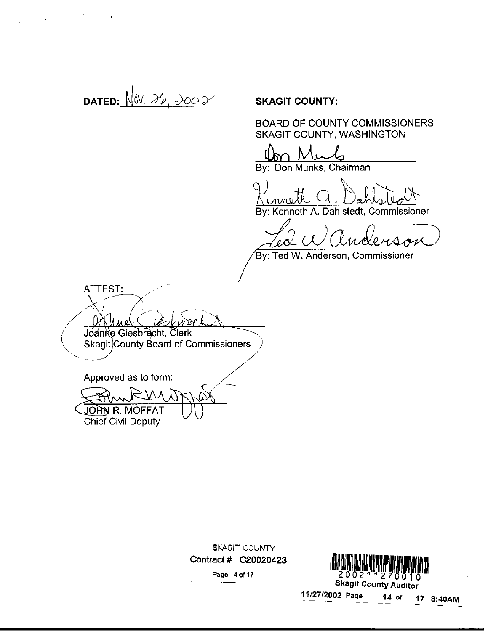DATED:  $\overline{\bigvee_{0} \bigvee_{0}}$   $\overline{\bigvee_{0} \bigvee_{0}}$   $\overline{\bigvee_{0} \bigvee_{0}}$   $\overline{\bigvee_{0} \bigvee_{0}}$   $\overline{\bigvee_{0} \bigvee_{0} \bigvee_{0} \bigvee_{0} \bigvee_{0} \bigvee_{0} \bigvee_{0} \bigvee_{0} \bigvee_{0} \bigvee_{0} \bigvee_{0} \bigvee_{0} \bigvee_{0} \bigvee_{0} \bigvee_{0} \bigvee_{0} \bigvee_{0} \bigvee_{0} \bigvee$ 

 $\mathcal{L}^{\mathcal{L}}(\mathcal{A})$  . As  $\mathcal{L}^{\mathcal{L}}(\mathcal{A})$ 

 $\blacksquare$ 

BOARD OF COUNTY COMMISSIONERS SKAGIT COUNTY:<br>
BOARD OF COUNTY COMMISSION<br>
SKAGIT COUNTY, WASHINGTON<br>
By: Don Munks, Chairman BOARD OF COUNTY COM<br>SKAGIT COUNTY, WASH<br><u>John Munks, Chairman</u><br>By: Don Munks, Chairman

By: Kenneth A. Dahlstedt, Commissioner

 $\omega$ 

Ted W. Anderson, Commissioner

ATTEST ا مەخ Joanne Giesbrecht, Clerk

Skagit County Board of Commissioners

Approved as to form

JOHN R. MOFFAT Chief Civil Deputy

SKAGIT COUNTY Contract # C20020423

![](_page_13_Picture_14.jpeg)

Skagit County Auditor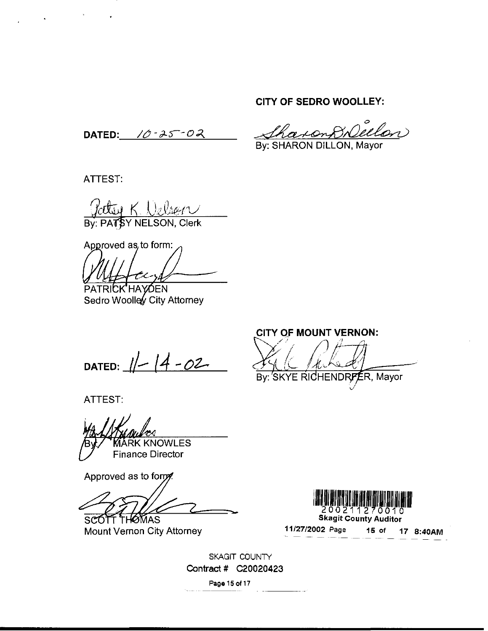## CITY OF SEDRO WOOLLEY

DATED:  $10 - 25 - 02$ 

8 Dellan raon By: SHARON DILLON, Mayor

ATTEST

 $\mathcal{O}(\log n)$  . As  $\mathcal{O}(\log n)$ 

By: PATSY NELSON, Clerk

Approved as, to form: Patrick KHAIFING<br>By: PATRY NELSO<br>Approved as to form<br>PATRICK HAYOEN<br>Sedro Woolley City

Sedro Woolley City Attorney

DATED:  $1/- (4 - 02 -$ 

ATTEST

**MARK KNOWLES** Finance Director

Approved as to form.

SCOTT THOMAS Mount Vernon City Attorney

CITY OF MOUNT VERNON:  $\overline{\mathcal{L}}$ By: SKYE RICHENDRFER, Mayor

![](_page_14_Picture_16.jpeg)

Skagit County Auditor

SKAGIT COUNTY Contract # C20020423 Page <sup>15</sup> of 17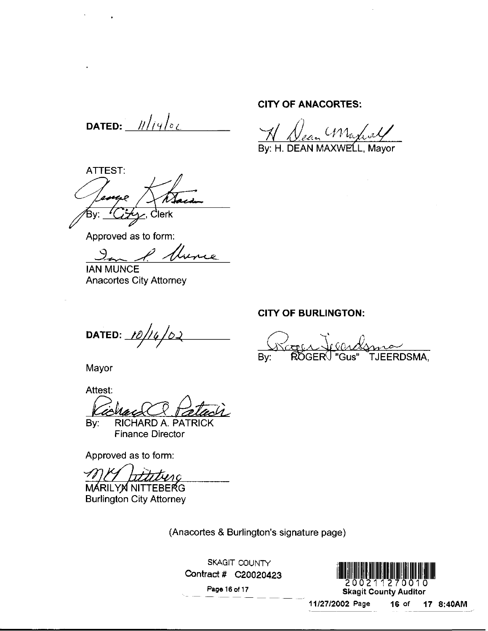DATED:  $11/19/82$ 

ATTEST  $\frac{1}{\sqrt{2}}$  $\leq$ , Clerk

Approved as to form

IAN MUNCE Anacortes City Attorney

DATED:  $10/16/02$ 

Mayor

Attest nacortes City Attorney<br> **ATED:** 10/14/02<br>
Iayor<br>
Itest:<br>
Cochase CR Patrick<br>
Finance Director<br>
pproved as to form: Mayor<br>Mayor<br>Attest:<br>By: RICHARD A. P<br>Finance Direct<br>Approved as to form:<br>MARILYM NITTEBER<br>Burlington City Attorne

By: RICHARD A. PATRICK Finance Director

Approved as to form

By: RICHARD A. P<br>Finance Directo<br>Approved as to form:<br>MARILYM NITTEBERG<br>Burlington City Attorne

MÁRILYN NITTEBERG Burlington City Attorney

(Anacortes & Burlington's signature page)

SKAGIT COUNTY

Page16of17

![](_page_15_Picture_15.jpeg)

CITY OF ANACORTES

RTES:<br>Maxi<br>XWELL, By: H. DEAN MAXWELL, Mayor

#### CITY OF BURLINGTON

By: ROGER<sup>()</sup> "Gus" TJEERDSMA,